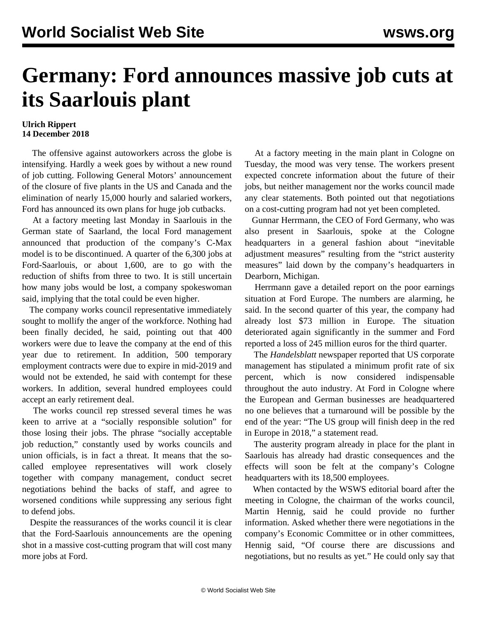## **Germany: Ford announces massive job cuts at its Saarlouis plant**

## **Ulrich Rippert 14 December 2018**

 The offensive against autoworkers across the globe is intensifying. Hardly a week goes by without a new round of job cutting. Following General Motors' announcement of the closure of five plants in the US and Canada and the elimination of nearly 15,000 hourly and salaried workers, Ford has announced its own plans for huge job cutbacks.

 At a factory meeting last Monday in Saarlouis in the German state of Saarland, the local Ford management announced that production of the company's C-Max model is to be discontinued. A quarter of the 6,300 jobs at Ford-Saarlouis, or about 1,600, are to go with the reduction of shifts from three to two. It is still uncertain how many jobs would be lost, a company spokeswoman said, implying that the total could be even higher.

 The company works council representative immediately sought to mollify the anger of the workforce. Nothing had been finally decided, he said, pointing out that 400 workers were due to leave the company at the end of this year due to retirement. In addition, 500 temporary employment contracts were due to expire in mid-2019 and would not be extended, he said with contempt for these workers. In addition, several hundred employees could accept an early retirement deal.

 The works council rep stressed several times he was keen to arrive at a "socially responsible solution" for those losing their jobs. The phrase "socially acceptable job reduction," constantly used by works councils and union officials, is in fact a threat. It means that the socalled employee representatives will work closely together with company management, conduct secret negotiations behind the backs of staff, and agree to worsened conditions while suppressing any serious fight to defend jobs.

 Despite the reassurances of the works council it is clear that the Ford-Saarlouis announcements are the opening shot in a massive cost-cutting program that will cost many more jobs at Ford.

 At a factory meeting in the main plant in Cologne on Tuesday, the mood was very tense. The workers present expected concrete information about the future of their jobs, but neither management nor the works council made any clear statements. Both pointed out that negotiations on a cost-cutting program had not yet been completed.

 Gunnar Herrmann, the CEO of Ford Germany, who was also present in Saarlouis, spoke at the Cologne headquarters in a general fashion about "inevitable adjustment measures" resulting from the "strict austerity measures" laid down by the company's headquarters in Dearborn, Michigan.

 Herrmann gave a detailed report on the poor earnings situation at Ford Europe. The numbers are alarming, he said. In the second quarter of this year, the company had already lost \$73 million in Europe. The situation deteriorated again significantly in the summer and Ford reported a loss of 245 million euros for the third quarter.

 The *Handelsblatt* newspaper reported that US corporate management has stipulated a minimum profit rate of six percent, which is now considered indispensable throughout the auto industry. At Ford in Cologne where the European and German businesses are headquartered no one believes that a turnaround will be possible by the end of the year: "The US group will finish deep in the red in Europe in 2018," a statement read.

 The austerity program already in place for the plant in Saarlouis has already had drastic consequences and the effects will soon be felt at the company's Cologne headquarters with its 18,500 employees.

 When contacted by the WSWS editorial board after the meeting in Cologne, the chairman of the works council, Martin Hennig, said he could provide no further information. Asked whether there were negotiations in the company's Economic Committee or in other committees, Hennig said, "Of course there are discussions and negotiations, but no results as yet." He could only say that